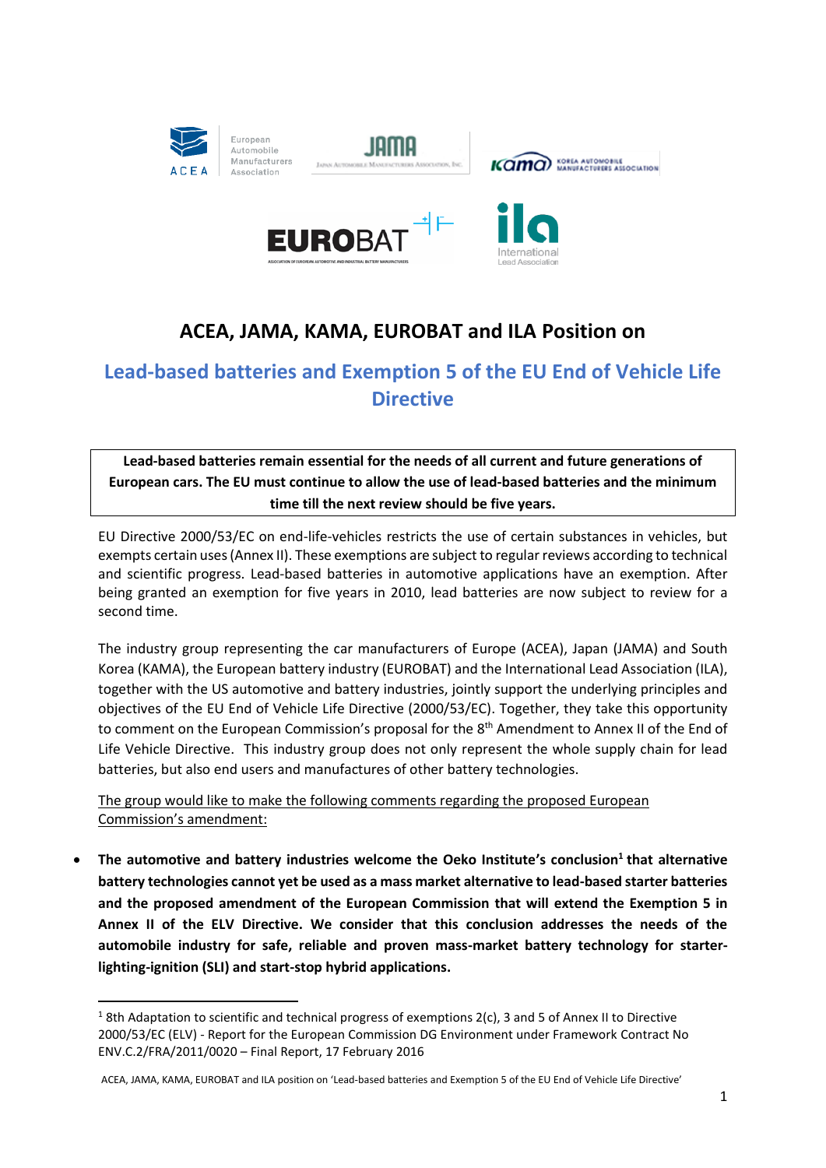

 $\overline{a}$ 









# **ACEA, JAMA, KAMA, EUROBAT and ILA Position on**

## **Lead-based batteries and Exemption 5 of the EU End of Vehicle Life Directive**

**Lead-based batteries remain essential for the needs of all current and future generations of European cars. The EU must continue to allow the use of lead-based batteries and the minimum time till the next review should be five years.**

EU Directive 2000/53/EC on end-life-vehicles restricts the use of certain substances in vehicles, but exempts certain uses (Annex II). These exemptions are subject to regular reviews according to technical and scientific progress. Lead-based batteries in automotive applications have an exemption. After being granted an exemption for five years in 2010, lead batteries are now subject to review for a second time.

The industry group representing the car manufacturers of Europe (ACEA), Japan (JAMA) and South Korea (KAMA), the European battery industry (EUROBAT) and the International Lead Association (ILA), together with the US automotive and battery industries, jointly support the underlying principles and objectives of the EU End of Vehicle Life Directive (2000/53/EC). Together, they take this opportunity to comment on the European Commission's proposal for the 8<sup>th</sup> Amendment to Annex II of the End of Life Vehicle Directive. This industry group does not only represent the whole supply chain for lead batteries, but also end users and manufactures of other battery technologies.

The group would like to make the following comments regarding the proposed European Commission's amendment:

 **The automotive and battery industries welcome the Oeko Institute's conclusion<sup>1</sup> that alternative battery technologies cannot yet be used as a mass market alternative to lead-based starter batteries and the proposed amendment of the European Commission that will extend the Exemption 5 in Annex II of the ELV Directive. We consider that this conclusion addresses the needs of the automobile industry for safe, reliable and proven mass-market battery technology for starterlighting-ignition (SLI) and start-stop hybrid applications.**

 $18$ th Adaptation to scientific and technical progress of exemptions 2(c), 3 and 5 of Annex II to Directive 2000/53/EC (ELV) - Report for the European Commission DG Environment under Framework Contract No ENV.C.2/FRA/2011/0020 – Final Report, 17 February 2016

ACEA, JAMA, KAMA, EUROBAT and ILA position on 'Lead-based batteries and Exemption 5 of the EU End of Vehicle Life Directive'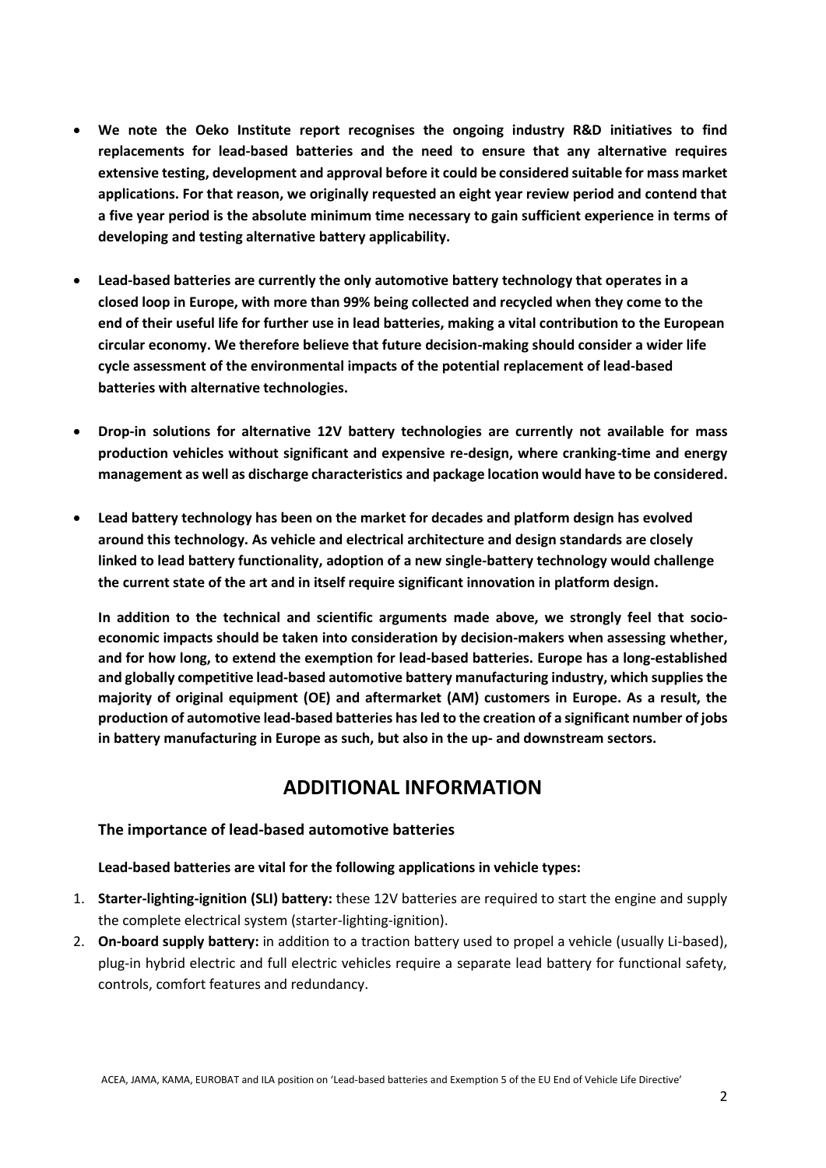- **We note the Oeko Institute report recognises the ongoing industry R&D initiatives to find replacements for lead-based batteries and the need to ensure that any alternative requires extensive testing, development and approval before it could be considered suitable for mass market applications. For that reason, we originally requested an eight year review period and contend that a five year period is the absolute minimum time necessary to gain sufficient experience in terms of developing and testing alternative battery applicability.**
- **Lead-based batteries are currently the only automotive battery technology that operates in a closed loop in Europe, with more than 99% being collected and recycled when they come to the end of their useful life for further use in lead batteries, making a vital contribution to the European circular economy. We therefore believe that future decision-making should consider a wider life cycle assessment of the environmental impacts of the potential replacement of lead-based batteries with alternative technologies.**
- **Drop-in solutions for alternative 12V battery technologies are currently not available for mass production vehicles without significant and expensive re-design, where cranking-time and energy management as well as discharge characteristics and package location would have to be considered.**
- **Lead battery technology has been on the market for decades and platform design has evolved around this technology. As vehicle and electrical architecture and design standards are closely linked to lead battery functionality, adoption of a new single-battery technology would challenge the current state of the art and in itself require significant innovation in platform design.**

**In addition to the technical and scientific arguments made above, we strongly feel that socioeconomic impacts should be taken into consideration by decision-makers when assessing whether, and for how long, to extend the exemption for lead-based batteries. Europe has a long-established and globally competitive lead-based automotive battery manufacturing industry, which supplies the majority of original equipment (OE) and aftermarket (AM) customers in Europe. As a result, the production of automotive lead-based batteries has led to the creation of a significant number of jobs in battery manufacturing in Europe as such, but also in the up- and downstream sectors.**

## **ADDITIONAL INFORMATION**

#### **The importance of lead-based automotive batteries**

#### **Lead-based batteries are vital for the following applications in vehicle types:**

- 1. **Starter-lighting-ignition (SLI) battery:** these 12V batteries are required to start the engine and supply the complete electrical system (starter-lighting-ignition).
- 2. **On-board supply battery:** in addition to a traction battery used to propel a vehicle (usually Li-based), plug-in hybrid electric and full electric vehicles require a separate lead battery for functional safety, controls, comfort features and redundancy.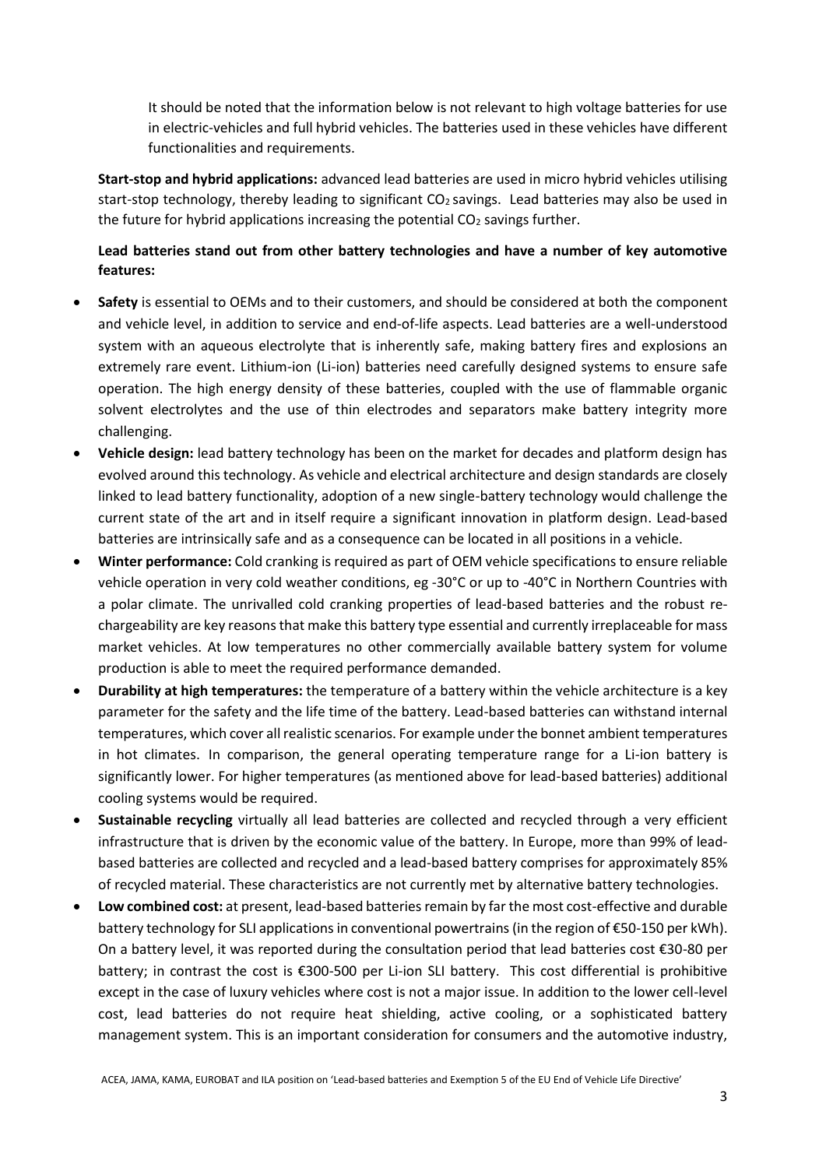It should be noted that the information below is not relevant to high voltage batteries for use in electric-vehicles and full hybrid vehicles. The batteries used in these vehicles have different functionalities and requirements.

**Start-stop and hybrid applications:** advanced lead batteries are used in micro hybrid vehicles utilising start-stop technology, thereby leading to significant  $CO<sub>2</sub>$  savings. Lead batteries may also be used in the future for hybrid applications increasing the potential  $CO<sub>2</sub>$  savings further.

#### **Lead batteries stand out from other battery technologies and have a number of key automotive features:**

- **Safety** is essential to OEMs and to their customers, and should be considered at both the component and vehicle level, in addition to service and end-of-life aspects. Lead batteries are a well-understood system with an aqueous electrolyte that is inherently safe, making battery fires and explosions an extremely rare event. Lithium-ion (Li-ion) batteries need carefully designed systems to ensure safe operation. The high energy density of these batteries, coupled with the use of flammable organic solvent electrolytes and the use of thin electrodes and separators make battery integrity more challenging.
- **Vehicle design:** lead battery technology has been on the market for decades and platform design has evolved around this technology. As vehicle and electrical architecture and design standards are closely linked to lead battery functionality, adoption of a new single-battery technology would challenge the current state of the art and in itself require a significant innovation in platform design. Lead-based batteries are intrinsically safe and as a consequence can be located in all positions in a vehicle.
- **Winter performance:** Cold cranking is required as part of OEM vehicle specifications to ensure reliable vehicle operation in very cold weather conditions, eg -30°C or up to -40°C in Northern Countries with a polar climate. The unrivalled cold cranking properties of lead-based batteries and the robust rechargeability are key reasons that make this battery type essential and currently irreplaceable for mass market vehicles. At low temperatures no other commercially available battery system for volume production is able to meet the required performance demanded.
- **Durability at high temperatures:** the temperature of a battery within the vehicle architecture is a key parameter for the safety and the life time of the battery. Lead-based batteries can withstand internal temperatures, which cover allrealistic scenarios. For example under the bonnet ambient temperatures in hot climates. In comparison, the general operating temperature range for a Li-ion battery is significantly lower. For higher temperatures (as mentioned above for lead-based batteries) additional cooling systems would be required.
- **Sustainable recycling** virtually all lead batteries are collected and recycled through a very efficient infrastructure that is driven by the economic value of the battery. In Europe, more than 99% of leadbased batteries are collected and recycled and a lead-based battery comprises for approximately 85% of recycled material. These characteristics are not currently met by alternative battery technologies.
- **Low combined cost:** at present, lead-based batteries remain by far the most cost-effective and durable battery technology for SLI applications in conventional powertrains (in the region of €50-150 per kWh). On a battery level, it was reported during the consultation period that lead batteries cost €30-80 per battery; in contrast the cost is €300-500 per Li-ion SLI battery. This cost differential is prohibitive except in the case of luxury vehicles where cost is not a major issue. In addition to the lower cell-level cost, lead batteries do not require heat shielding, active cooling, or a sophisticated battery management system. This is an important consideration for consumers and the automotive industry,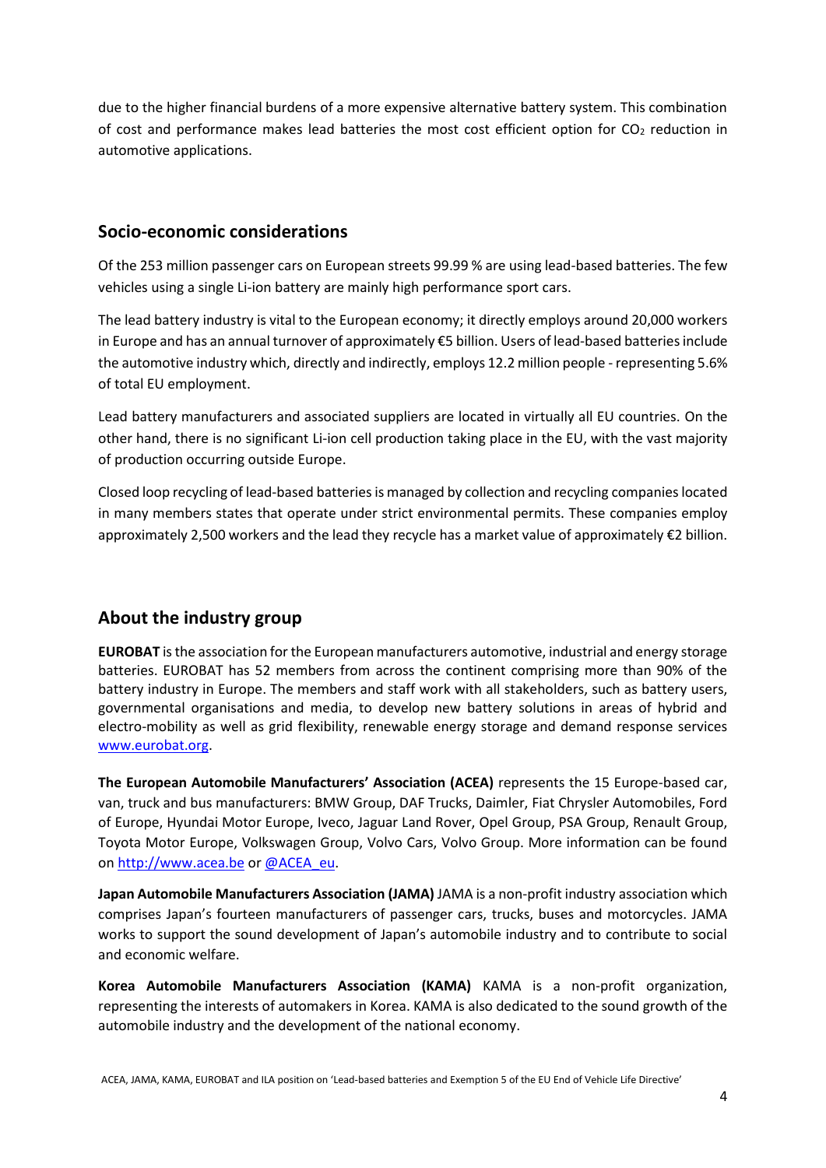due to the higher financial burdens of a more expensive alternative battery system. This combination of cost and performance makes lead batteries the most cost efficient option for  $CO<sub>2</sub>$  reduction in automotive applications.

### **Socio-economic considerations**

Of the 253 million passenger cars on European streets 99.99 % are using lead-based batteries. The few vehicles using a single Li-ion battery are mainly high performance sport cars.

The lead battery industry is vital to the European economy; it directly employs around 20,000 workers in Europe and has an annual turnover of approximately €5 billion. Users of lead-based batteries include the automotive industry which, directly and indirectly, employs 12.2 million people - representing 5.6% of total EU employment.

Lead battery manufacturers and associated suppliers are located in virtually all EU countries. On the other hand, there is no significant Li-ion cell production taking place in the EU, with the vast majority of production occurring outside Europe.

Closed loop recycling of lead-based batteries is managed by collection and recycling companies located in many members states that operate under strict environmental permits. These companies employ approximately 2,500 workers and the lead they recycle has a market value of approximately €2 billion.

## **About the industry group**

**EUROBAT** is the association for the European manufacturers automotive, industrial and energy storage batteries. EUROBAT has 52 members from across the continent comprising more than 90% of the battery industry in Europe. The members and staff work with all stakeholders, such as battery users, governmental organisations and media, to develop new battery solutions in areas of hybrid and electro-mobility as well as grid flexibility, renewable energy storage and demand response services [www.eurobat.org.](http://www.eurobat.org/)

**The European Automobile Manufacturers' Association (ACEA)** represents the 15 Europe-based car, van, truck and bus manufacturers: BMW Group, DAF Trucks, Daimler, Fiat Chrysler Automobiles, Ford of Europe, Hyundai Motor Europe, Iveco, Jaguar Land Rover, Opel Group, PSA Group, Renault Group, Toyota Motor Europe, Volkswagen Group, Volvo Cars, Volvo Group. More information can be found on [http://www.acea.be](http://www.acea.be/) or [@ACEA\\_eu.](https://twitter.com/ACEA_eu)

**Japan Automobile Manufacturers Association (JAMA)** JAMA is a non-profit industry association which comprises Japan's fourteen manufacturers of passenger cars, trucks, buses and motorcycles. JAMA works to support the sound development of Japan's automobile industry and to contribute to social and economic welfare.

**Korea Automobile Manufacturers Association (KAMA)** KAMA is a non-profit organization, representing the interests of automakers in Korea. KAMA is also dedicated to the sound growth of the automobile industry and the development of the national economy.